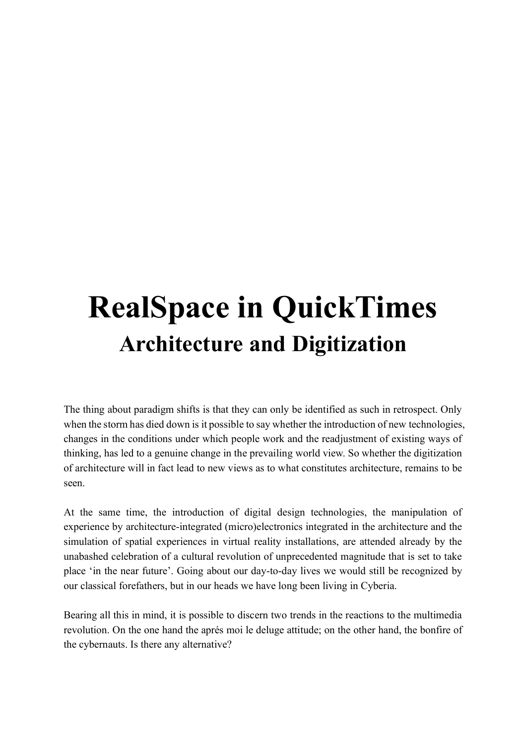# **RealSpace in QuickTimes Architecture and Digitization**

The thing about paradigm shifts is that they can only be identified as such in retrospect. Only when the storm has died down is it possible to say whether the introduction of new technologies, changes in the conditions under which people work and the readjustment of existing ways of thinking, has led to a genuine change in the prevailing world view. So whether the digitization of architecture will in fact lead to new views as to what constitutes architecture, remains to be seen.

At the same time, the introduction of digital design technologies, the manipulation of experience by architecture-integrated (micro)electronics integrated in the architecture and the simulation of spatial experiences in virtual reality installations, are attended already by the unabashed celebration of a cultural revolution of unprecedented magnitude that is set to take place 'in the near future'. Going about our day-to-day lives we would still be recognized by our classical forefathers, but in our heads we have long been living in Cyberia.

Bearing all this in mind, it is possible to discern two trends in the reactions to the multimedia revolution. On the one hand the aprés moi le deluge attitude; on the other hand, the bonfire of the cybernauts. Is there any alternative?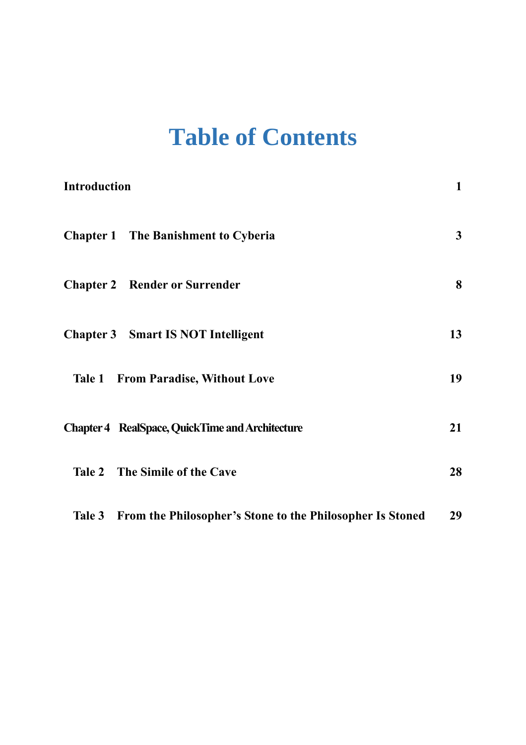# **Table of Contents**

| Introduction                                                     | $\mathbf{1}$ |
|------------------------------------------------------------------|--------------|
| <b>Chapter 1</b> The Banishment to Cyberia                       | $\mathbf{3}$ |
| <b>Chapter 2 Render or Surrender</b>                             | 8            |
| <b>Chapter 3</b> Smart IS NOT Intelligent                        | 13           |
| <b>Tale 1 From Paradise, Without Love</b>                        | 19           |
| <b>Chapter 4 RealSpace, QuickTime and Architecture</b>           | 21           |
| Tale 2 The Simile of the Cave                                    | 28           |
| Tale 3 From the Philosopher's Stone to the Philosopher Is Stoned | 29           |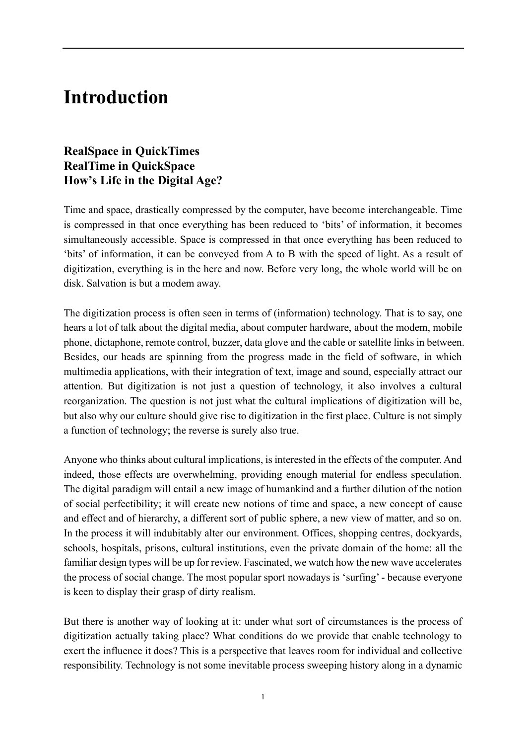## <span id="page-2-0"></span>**Introduction**

## **RealSpace in QuickTimes RealTime in QuickSpace How's Life in the Digital Age?**

Time and space, drastically compressed by the computer, have become interchangeable. Time is compressed in that once everything has been reduced to 'bits' of information, it becomes simultaneously accessible. Space is compressed in that once everything has been reduced to 'bits' of information, it can be conveyed from A to B with the speed of light. As a result of digitization, everything is in the here and now. Before very long, the whole world will be on disk. Salvation is but a modem away.

The digitization process is often seen in terms of (information) technology. That is to say, one hears a lot of talk about the digital media, about computer hardware, about the modem, mobile phone, dictaphone, remote control, buzzer, data glove and the cable or satellite links in between. Besides, our heads are spinning from the progress made in the field of software, in which multimedia applications, with their integration of text, image and sound, especially attract our attention. But digitization is not just a question of technology, it also involves a cultural reorganization. The question is not just what the cultural implications of digitization will be, but also why our culture should give rise to digitization in the first place. Culture is not simply a function of technology; the reverse is surely also true.

Anyone who thinks about cultural implications, is interested in the effects of the computer. And indeed, those effects are overwhelming, providing enough material for endless speculation. The digital paradigm will entail a new image of humankind and a further dilution of the notion of social perfectibility; it will create new notions of time and space, a new concept of cause and effect and of hierarchy, a different sort of public sphere, a new view of matter, and so on. In the process it will indubitably alter our environment. Offices, shopping centres, dockyards, schools, hospitals, prisons, cultural institutions, even the private domain of the home: all the familiar design types will be up for review. Fascinated, we watch how the new wave accelerates the process of social change. The most popular sport nowadays is 'surfing' - because everyone is keen to display their grasp of dirty realism.

But there is another way of looking at it: under what sort of circumstances is the process of digitization actually taking place? What conditions do we provide that enable technology to exert the influence it does? This is a perspective that leaves room for individual and collective responsibility. Technology is not some inevitable process sweeping history along in a dynamic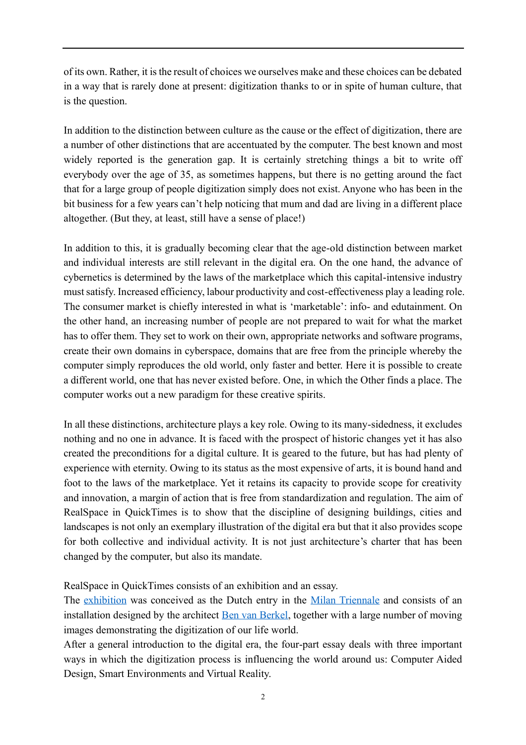of its own. Rather, it is the result of choices we ourselves make and these choices can be debated in a way that is rarely done at present: digitization thanks to or in spite of human culture, that is the question.

In addition to the distinction between culture as the cause or the effect of digitization, there are a number of other distinctions that are accentuated by the computer. The best known and most widely reported is the generation gap. It is certainly stretching things a bit to write off everybody over the age of 35, as sometimes happens, but there is no getting around the fact that for a large group of people digitization simply does not exist. Anyone who has been in the bit business for a few years can't help noticing that mum and dad are living in a different place altogether. (But they, at least, still have a sense of place!)

In addition to this, it is gradually becoming clear that the age-old distinction between market and individual interests are still relevant in the digital era. On the one hand, the advance of cybernetics is determined by the laws of the marketplace which this capital-intensive industry must satisfy. Increased efficiency, labour productivity and cost-effectiveness play a leading role. The consumer market is chiefly interested in what is 'marketable': info- and edutainment. On the other hand, an increasing number of people are not prepared to wait for what the market has to offer them. They set to work on their own, appropriate networks and software programs, create their own domains in cyberspace, domains that are free from the principle whereby the computer simply reproduces the old world, only faster and better. Here it is possible to create a different world, one that has never existed before. One, in which the Other finds a place. The computer works out a new paradigm for these creative spirits.

In all these distinctions, architecture plays a key role. Owing to its many-sidedness, it excludes nothing and no one in advance. It is faced with the prospect of historic changes yet it has also created the preconditions for a digital culture. It is geared to the future, but has had plenty of experience with eternity. Owing to its status as the most expensive of arts, it is bound hand and foot to the laws of the marketplace. Yet it retains its capacity to provide scope for creativity and innovation, a margin of action that is free from standardization and regulation. The aim of RealSpace in QuickTimes is to show that the discipline of designing buildings, cities and landscapes is not only an exemplary illustration of the digital era but that it also provides scope for both collective and individual activity. It is not just architecture's charter that has been changed by the computer, but also its mandate.

RealSpace in QuickTimes consists of an exhibition and an essay.

The [exhibition](http://static.nai.nl/www_riq/RiQ_expo.html) was conceived as the Dutch entry in the [Milan Triennale](http://static.nai.nl/www_riq/expo_triennale.html) and consists of an installation designed by the architect [Ben van Berkel,](http://static.nai.nl/www_riq/expo_ben.html) together with a large number of moving images demonstrating the digitization of our life world.

After a general introduction to the digital era, the four-part essay deals with three important ways in which the digitization process is influencing the world around us: Computer Aided Design, Smart Environments and Virtual Reality.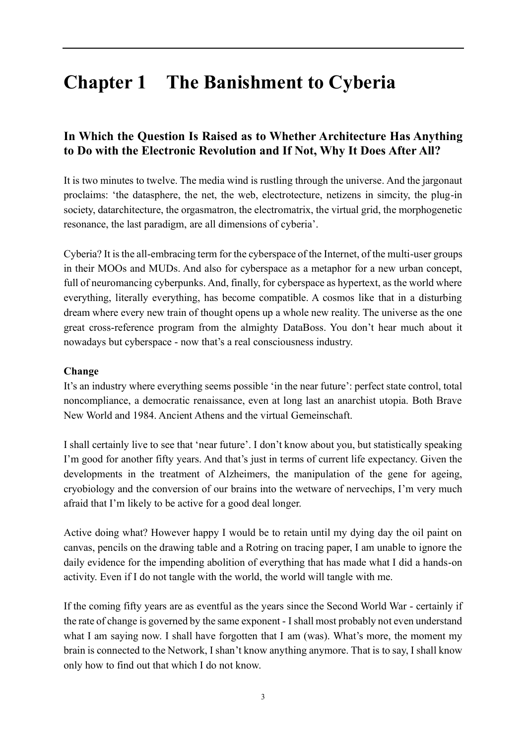# <span id="page-4-0"></span>**Chapter 1 The Banishment to Cyberia**

## **In Which the Question Is Raised as to Whether Architecture Has Anything to Do with the Electronic Revolution and If Not, Why It Does After All?**

It is two minutes to twelve. The media wind is rustling through the universe. And the jargonaut proclaims: 'the datasphere, the net, the web, electrotecture, netizens in simcity, the plug-in society, datarchitecture, the orgasmatron, the electromatrix, the virtual grid, the morphogenetic resonance, the last paradigm, are all dimensions of cyberia'.

Cyberia? It is the all-embracing term for the cyberspace of the Internet, of the multi-user groups in their MOOs and MUDs. And also for cyberspace as a metaphor for a new urban concept, full of neuromancing cyberpunks. And, finally, for cyberspace as hypertext, as the world where everything, literally everything, has become compatible. A cosmos like that in a disturbing dream where every new train of thought opens up a whole new reality. The universe as the one great cross-reference program from the almighty DataBoss. You don't hear much about it nowadays but cyberspace - now that's a real consciousness industry.

## **Change**

It's an industry where everything seems possible 'in the near future': perfect state control, total noncompliance, a democratic renaissance, even at long last an anarchist utopia. Both Brave New World and 1984. Ancient Athens and the virtual Gemeinschaft.

I shall certainly live to see that 'near future'. I don't know about you, but statistically speaking I'm good for another fifty years. And that's just in terms of current life expectancy. Given the developments in the treatment of Alzheimers, the manipulation of the gene for ageing, cryobiology and the conversion of our brains into the wetware of nervechips, I'm very much afraid that I'm likely to be active for a good deal longer.

Active doing what? However happy I would be to retain until my dying day the oil paint on canvas, pencils on the drawing table and a Rotring on tracing paper, I am unable to ignore the daily evidence for the impending abolition of everything that has made what I did a hands-on activity. Even if I do not tangle with the world, the world will tangle with me.

If the coming fifty years are as eventful as the years since the Second World War - certainly if the rate of change is governed by the same exponent - I shall most probably not even understand what I am saying now. I shall have forgotten that I am (was). What's more, the moment my brain is connected to the Network, I shan't know anything anymore. That is to say, I shall know only how to find out that which I do not know.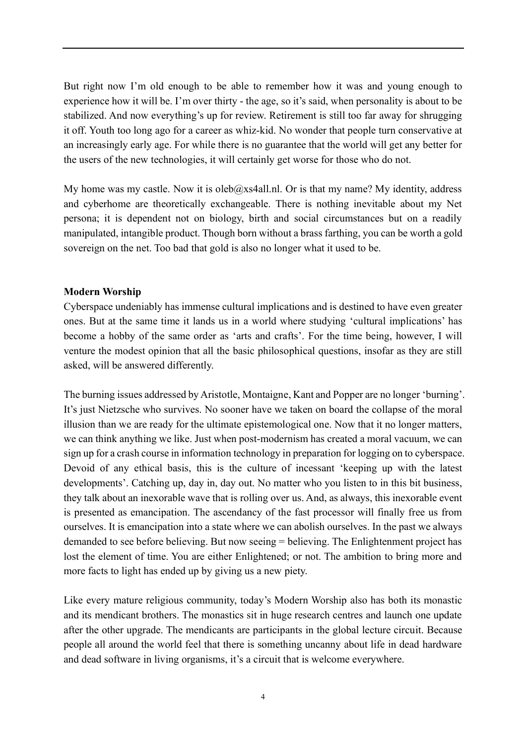But right now I'm old enough to be able to remember how it was and young enough to experience how it will be. I'm over thirty - the age, so it's said, when personality is about to be stabilized. And now everything's up for review. Retirement is still too far away for shrugging it off. Youth too long ago for a career as whiz-kid. No wonder that people turn conservative at an increasingly early age. For while there is no guarantee that the world will get any better for the users of the new technologies, it will certainly get worse for those who do not.

My home was my castle. Now it is oleb $@x$ s4all.nl. Or is that my name? My identity, address and cyberhome are theoretically exchangeable. There is nothing inevitable about my Net persona; it is dependent not on biology, birth and social circumstances but on a readily manipulated, intangible product. Though born without a brass farthing, you can be worth a gold sovereign on the net. Too bad that gold is also no longer what it used to be.

#### **Modern Worship**

Cyberspace undeniably has immense cultural implications and is destined to have even greater ones. But at the same time it lands us in a world where studying 'cultural implications' has become a hobby of the same order as 'arts and crafts'. For the time being, however, I will venture the modest opinion that all the basic philosophical questions, insofar as they are still asked, will be answered differently.

The burning issues addressed by Aristotle, Montaigne, Kant and Popper are no longer 'burning'. It's just Nietzsche who survives. No sooner have we taken on board the collapse of the moral illusion than we are ready for the ultimate epistemological one. Now that it no longer matters, we can think anything we like. Just when post-modernism has created a moral vacuum, we can sign up for a crash course in information technology in preparation for logging on to cyberspace. Devoid of any ethical basis, this is the culture of incessant 'keeping up with the latest developments'. Catching up, day in, day out. No matter who you listen to in this bit business, they talk about an inexorable wave that is rolling over us. And, as always, this inexorable event is presented as emancipation. The ascendancy of the fast processor will finally free us from ourselves. It is emancipation into a state where we can abolish ourselves. In the past we always demanded to see before believing. But now seeing = believing. The Enlightenment project has lost the element of time. You are either Enlightened; or not. The ambition to bring more and more facts to light has ended up by giving us a new piety.

Like every mature religious community, today's Modern Worship also has both its monastic and its mendicant brothers. The monastics sit in huge research centres and launch one update after the other upgrade. The mendicants are participants in the global lecture circuit. Because people all around the world feel that there is something uncanny about life in dead hardware and dead software in living organisms, it's a circuit that is welcome everywhere.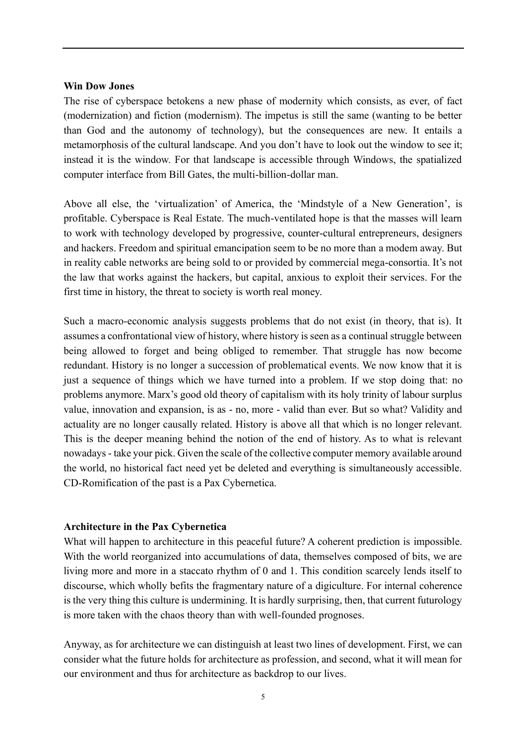#### **Win Dow Jones**

The rise of cyberspace betokens a new phase of modernity which consists, as ever, of fact (modernization) and fiction (modernism). The impetus is still the same (wanting to be better than God and the autonomy of technology), but the consequences are new. It entails a metamorphosis of the cultural landscape. And you don't have to look out the window to see it; instead it is the window. For that landscape is accessible through Windows, the spatialized computer interface from Bill Gates, the multi-billion-dollar man.

Above all else, the 'virtualization' of America, the 'Mindstyle of a New Generation', is profitable. Cyberspace is Real Estate. The much-ventilated hope is that the masses will learn to work with technology developed by progressive, counter-cultural entrepreneurs, designers and hackers. Freedom and spiritual emancipation seem to be no more than a modem away. But in reality cable networks are being sold to or provided by commercial mega-consortia. It's not the law that works against the hackers, but capital, anxious to exploit their services. For the first time in history, the threat to society is worth real money.

Such a macro-economic analysis suggests problems that do not exist (in theory, that is). It assumes a confrontational view of history, where history is seen as a continual struggle between being allowed to forget and being obliged to remember. That struggle has now become redundant. History is no longer a succession of problematical events. We now know that it is just a sequence of things which we have turned into a problem. If we stop doing that: no problems anymore. Marx's good old theory of capitalism with its holy trinity of labour surplus value, innovation and expansion, is as - no, more - valid than ever. But so what? Validity and actuality are no longer causally related. History is above all that which is no longer relevant. This is the deeper meaning behind the notion of the end of history. As to what is relevant nowadays - take your pick. Given the scale of the collective computer memory available around the world, no historical fact need yet be deleted and everything is simultaneously accessible. CD-Romification of the past is a Pax Cybernetica.

#### **Architecture in the Pax Cybernetica**

What will happen to architecture in this peaceful future? A coherent prediction is impossible. With the world reorganized into accumulations of data, themselves composed of bits, we are living more and more in a staccato rhythm of 0 and 1. This condition scarcely lends itself to discourse, which wholly befits the fragmentary nature of a digiculture. For internal coherence is the very thing this culture is undermining. It is hardly surprising, then, that current futurology is more taken with the chaos theory than with well-founded prognoses.

Anyway, as for architecture we can distinguish at least two lines of development. First, we can consider what the future holds for architecture as profession, and second, what it will mean for our environment and thus for architecture as backdrop to our lives.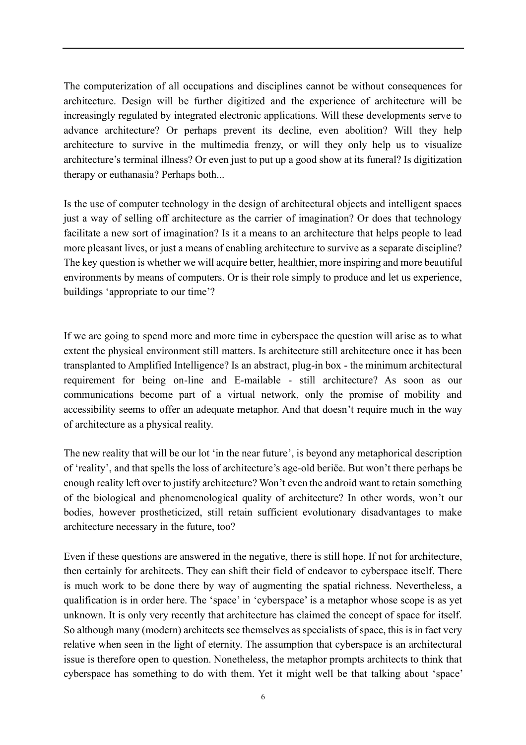The computerization of all occupations and disciplines cannot be without consequences for architecture. Design will be further digitized and the experience of architecture will be increasingly regulated by integrated electronic applications. Will these developments serve to advance architecture? Or perhaps prevent its decline, even abolition? Will they help architecture to survive in the multimedia frenzy, or will they only help us to visualize architecture's terminal illness? Or even just to put up a good show at its funeral? Is digitization therapy or euthanasia? Perhaps both...

Is the use of computer technology in the design of architectural objects and intelligent spaces just a way of selling off architecture as the carrier of imagination? Or does that technology facilitate a new sort of imagination? Is it a means to an architecture that helps people to lead more pleasant lives, or just a means of enabling architecture to survive as a separate discipline? The key question is whether we will acquire better, healthier, more inspiring and more beautiful environments by means of computers. Or is their role simply to produce and let us experience, buildings 'appropriate to our time'?

If we are going to spend more and more time in cyberspace the question will arise as to what extent the physical environment still matters. Is architecture still architecture once it has been transplanted to Amplified Intelligence? Is an abstract, plug-in box - the minimum architectural requirement for being on-line and E-mailable - still architecture? As soon as our communications become part of a virtual network, only the promise of mobility and accessibility seems to offer an adequate metaphor. And that doesn't require much in the way of architecture as a physical reality.

The new reality that will be our lot 'in the near future', is beyond any metaphorical description of 'reality', and that spells the loss of architecture's age-old beriëe. But won't there perhaps be enough reality left over to justify architecture? Won't even the android want to retain something of the biological and phenomenological quality of architecture? In other words, won't our bodies, however prostheticized, still retain sufficient evolutionary disadvantages to make architecture necessary in the future, too?

Even if these questions are answered in the negative, there is still hope. If not for architecture, then certainly for architects. They can shift their field of endeavor to cyberspace itself. There is much work to be done there by way of augmenting the spatial richness. Nevertheless, a qualification is in order here. The 'space' in 'cyberspace' is a metaphor whose scope is as yet unknown. It is only very recently that architecture has claimed the concept of space for itself. So although many (modern) architects see themselves as specialists of space, this is in fact very relative when seen in the light of eternity. The assumption that cyberspace is an architectural issue is therefore open to question. Nonetheless, the metaphor prompts architects to think that cyberspace has something to do with them. Yet it might well be that talking about 'space'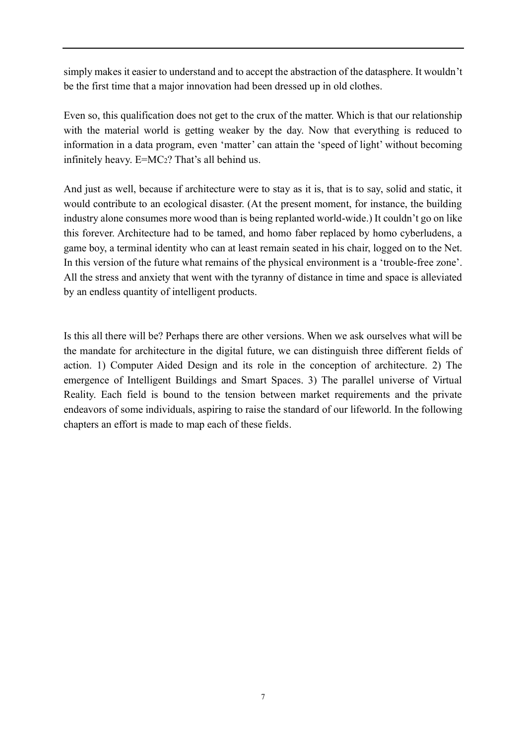simply makes it easier to understand and to accept the abstraction of the datasphere. It wouldn't be the first time that a major innovation had been dressed up in old clothes.

Even so, this qualification does not get to the crux of the matter. Which is that our relationship with the material world is getting weaker by the day. Now that everything is reduced to information in a data program, even 'matter' can attain the 'speed of light' without becoming infinitely heavy. E=MC2? That's all behind us.

And just as well, because if architecture were to stay as it is, that is to say, solid and static, it would contribute to an ecological disaster. (At the present moment, for instance, the building industry alone consumes more wood than is being replanted world-wide.) It couldn't go on like this forever. Architecture had to be tamed, and homo faber replaced by homo cyberludens, a game boy, a terminal identity who can at least remain seated in his chair, logged on to the Net. In this version of the future what remains of the physical environment is a 'trouble-free zone'. All the stress and anxiety that went with the tyranny of distance in time and space is alleviated by an endless quantity of intelligent products.

Is this all there will be? Perhaps there are other versions. When we ask ourselves what will be the mandate for architecture in the digital future, we can distinguish three different fields of action. 1) Computer Aided Design and its role in the conception of architecture. 2) The emergence of Intelligent Buildings and Smart Spaces. 3) The parallel universe of Virtual Reality. Each field is bound to the tension between market requirements and the private endeavors of some individuals, aspiring to raise the standard of our lifeworld. In the following chapters an effort is made to map each of these fields.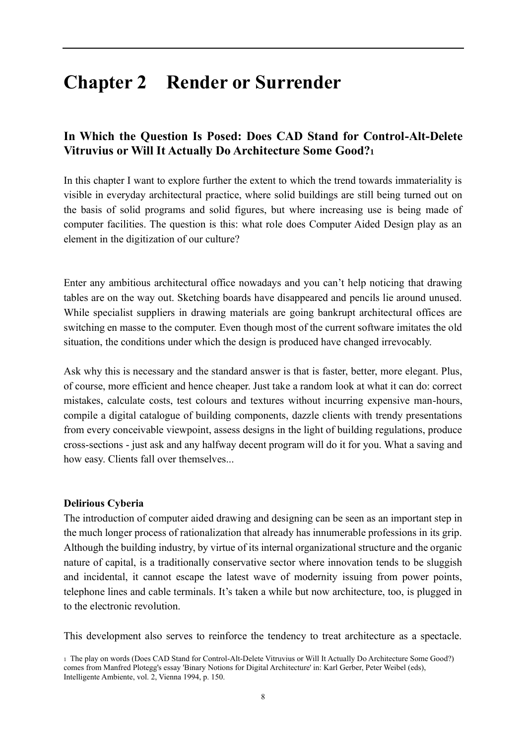# <span id="page-9-0"></span>**Chapter 2 Render or Surrender**

## **In Which the Question Is Posed: Does CAD Stand for Control-Alt-Delete Vitruvius or Will It Actually Do Architecture Some Good?<sup>1</sup>**

In this chapter I want to explore further the extent to which the trend towards immateriality is visible in everyday architectural practice, where solid buildings are still being turned out on the basis of solid programs and solid figures, but where increasing use is being made of computer facilities. The question is this: what role does Computer Aided Design play as an element in the digitization of our culture?

Enter any ambitious architectural office nowadays and you can't help noticing that drawing tables are on the way out. Sketching boards have disappeared and pencils lie around unused. While specialist suppliers in drawing materials are going bankrupt architectural offices are switching en masse to the computer. Even though most of the current software imitates the old situation, the conditions under which the design is produced have changed irrevocably.

Ask why this is necessary and the standard answer is that is faster, better, more elegant. Plus, of course, more efficient and hence cheaper. Just take a random look at what it can do: correct mistakes, calculate costs, test colours and textures without incurring expensive man-hours, compile a digital catalogue of building components, dazzle clients with trendy presentations from every conceivable viewpoint, assess designs in the light of building regulations, produce cross-sections - just ask and any halfway decent program will do it for you. What a saving and how easy. Clients fall over themselves...

## **Delirious Cyberia**

The introduction of computer aided drawing and designing can be seen as an important step in the much longer process of rationalization that already has innumerable professions in its grip. Although the building industry, by virtue of its internal organizational structure and the organic nature of capital, is a traditionally conservative sector where innovation tends to be sluggish and incidental, it cannot escape the latest wave of modernity issuing from power points, telephone lines and cable terminals. It's taken a while but now architecture, too, is plugged in to the electronic revolution.

This development also serves to reinforce the tendency to treat architecture as a spectacle.

<sup>1</sup> The play on words (Does CAD Stand for Control-Alt-Delete Vitruvius or Will It Actually Do Architecture Some Good?) comes from Manfred Plotegg's essay 'Binary Notions for Digital Architecture' in: Karl Gerber, Peter Weibel (eds), Intelligente Ambiente, vol. 2, Vienna 1994, p. 150.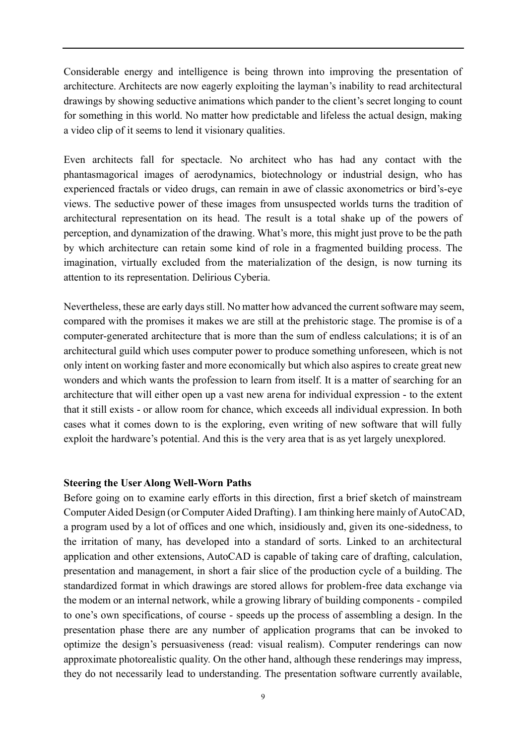Considerable energy and intelligence is being thrown into improving the presentation of architecture. Architects are now eagerly exploiting the layman's inability to read architectural drawings by showing seductive animations which pander to the client's secret longing to count for something in this world. No matter how predictable and lifeless the actual design, making a video clip of it seems to lend it visionary qualities.

Even architects fall for spectacle. No architect who has had any contact with the phantasmagorical images of aerodynamics, biotechnology or industrial design, who has experienced fractals or video drugs, can remain in awe of classic axonometrics or bird's-eye views. The seductive power of these images from unsuspected worlds turns the tradition of architectural representation on its head. The result is a total shake up of the powers of perception, and dynamization of the drawing. What's more, this might just prove to be the path by which architecture can retain some kind of role in a fragmented building process. The imagination, virtually excluded from the materialization of the design, is now turning its attention to its representation. Delirious Cyberia.

Nevertheless, these are early days still. No matter how advanced the current software may seem, compared with the promises it makes we are still at the prehistoric stage. The promise is of a computer-generated architecture that is more than the sum of endless calculations; it is of an architectural guild which uses computer power to produce something unforeseen, which is not only intent on working faster and more economically but which also aspires to create great new wonders and which wants the profession to learn from itself. It is a matter of searching for an architecture that will either open up a vast new arena for individual expression - to the extent that it still exists - or allow room for chance, which exceeds all individual expression. In both cases what it comes down to is the exploring, even writing of new software that will fully exploit the hardware's potential. And this is the very area that is as yet largely unexplored.

#### **Steering the User Along Well-Worn Paths**

Before going on to examine early efforts in this direction, first a brief sketch of mainstream Computer Aided Design (or Computer Aided Drafting). I am thinking here mainly of AutoCAD, a program used by a lot of offices and one which, insidiously and, given its one-sidedness, to the irritation of many, has developed into a standard of sorts. Linked to an architectural application and other extensions, AutoCAD is capable of taking care of drafting, calculation, presentation and management, in short a fair slice of the production cycle of a building. The standardized format in which drawings are stored allows for problem-free data exchange via the modem or an internal network, while a growing library of building components - compiled to one's own specifications, of course - speeds up the process of assembling a design. In the presentation phase there are any number of application programs that can be invoked to optimize the design's persuasiveness (read: visual realism). Computer renderings can now approximate photorealistic quality. On the other hand, although these renderings may impress, they do not necessarily lead to understanding. The presentation software currently available,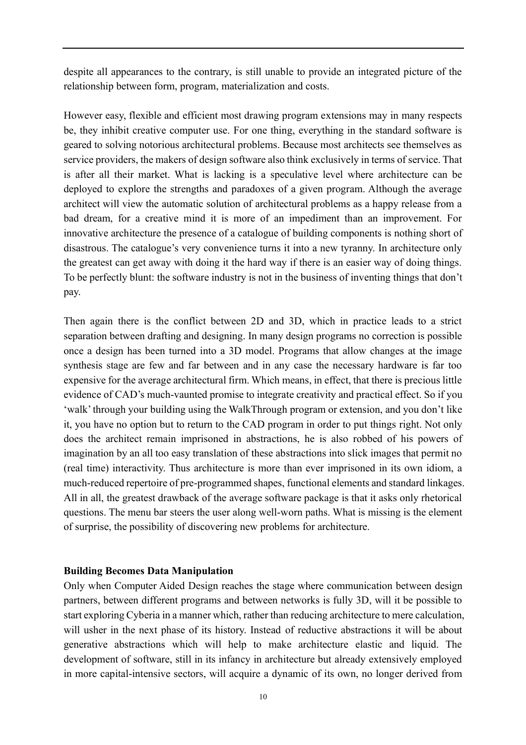despite all appearances to the contrary, is still unable to provide an integrated picture of the relationship between form, program, materialization and costs.

However easy, flexible and efficient most drawing program extensions may in many respects be, they inhibit creative computer use. For one thing, everything in the standard software is geared to solving notorious architectural problems. Because most architects see themselves as service providers, the makers of design software also think exclusively in terms of service. That is after all their market. What is lacking is a speculative level where architecture can be deployed to explore the strengths and paradoxes of a given program. Although the average architect will view the automatic solution of architectural problems as a happy release from a bad dream, for a creative mind it is more of an impediment than an improvement. For innovative architecture the presence of a catalogue of building components is nothing short of disastrous. The catalogue's very convenience turns it into a new tyranny. In architecture only the greatest can get away with doing it the hard way if there is an easier way of doing things. To be perfectly blunt: the software industry is not in the business of inventing things that don't pay.

Then again there is the conflict between 2D and 3D, which in practice leads to a strict separation between drafting and designing. In many design programs no correction is possible once a design has been turned into a 3D model. Programs that allow changes at the image synthesis stage are few and far between and in any case the necessary hardware is far too expensive for the average architectural firm. Which means, in effect, that there is precious little evidence of CAD's much-vaunted promise to integrate creativity and practical effect. So if you 'walk'through your building using the WalkThrough program or extension, and you don't like it, you have no option but to return to the CAD program in order to put things right. Not only does the architect remain imprisoned in abstractions, he is also robbed of his powers of imagination by an all too easy translation of these abstractions into slick images that permit no (real time) interactivity. Thus architecture is more than ever imprisoned in its own idiom, a much-reduced repertoire of pre-programmed shapes, functional elements and standard linkages. All in all, the greatest drawback of the average software package is that it asks only rhetorical questions. The menu bar steers the user along well-worn paths. What is missing is the element of surprise, the possibility of discovering new problems for architecture.

#### **Building Becomes Data Manipulation**

Only when Computer Aided Design reaches the stage where communication between design partners, between different programs and between networks is fully 3D, will it be possible to start exploring Cyberia in a manner which, rather than reducing architecture to mere calculation, will usher in the next phase of its history. Instead of reductive abstractions it will be about generative abstractions which will help to make architecture elastic and liquid. The development of software, still in its infancy in architecture but already extensively employed in more capital-intensive sectors, will acquire a dynamic of its own, no longer derived from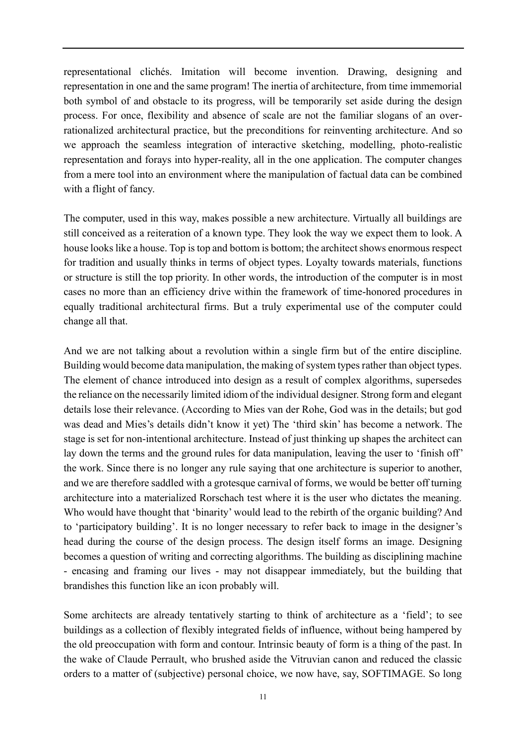representational clichés. Imitation will become invention. Drawing, designing and representation in one and the same program! The inertia of architecture, from time immemorial both symbol of and obstacle to its progress, will be temporarily set aside during the design process. For once, flexibility and absence of scale are not the familiar slogans of an overrationalized architectural practice, but the preconditions for reinventing architecture. And so we approach the seamless integration of interactive sketching, modelling, photo-realistic representation and forays into hyper-reality, all in the one application. The computer changes from a mere tool into an environment where the manipulation of factual data can be combined with a flight of fancy.

The computer, used in this way, makes possible a new architecture. Virtually all buildings are still conceived as a reiteration of a known type. They look the way we expect them to look. A house looks like a house. Top is top and bottom is bottom; the architect shows enormous respect for tradition and usually thinks in terms of object types. Loyalty towards materials, functions or structure is still the top priority. In other words, the introduction of the computer is in most cases no more than an efficiency drive within the framework of time-honored procedures in equally traditional architectural firms. But a truly experimental use of the computer could change all that.

And we are not talking about a revolution within a single firm but of the entire discipline. Building would become data manipulation, the making of system types rather than object types. The element of chance introduced into design as a result of complex algorithms, supersedes the reliance on the necessarily limited idiom of the individual designer. Strong form and elegant details lose their relevance. (According to Mies van der Rohe, God was in the details; but god was dead and Mies's details didn't know it yet) The 'third skin' has become a network. The stage is set for non-intentional architecture. Instead of just thinking up shapes the architect can lay down the terms and the ground rules for data manipulation, leaving the user to 'finish off' the work. Since there is no longer any rule saying that one architecture is superior to another, and we are therefore saddled with a grotesque carnival of forms, we would be better off turning architecture into a materialized Rorschach test where it is the user who dictates the meaning. Who would have thought that 'binarity' would lead to the rebirth of the organic building? And to 'participatory building'. It is no longer necessary to refer back to image in the designer's head during the course of the design process. The design itself forms an image. Designing becomes a question of writing and correcting algorithms. The building as disciplining machine - encasing and framing our lives - may not disappear immediately, but the building that brandishes this function like an icon probably will.

Some architects are already tentatively starting to think of architecture as a 'field'; to see buildings as a collection of flexibly integrated fields of influence, without being hampered by the old preoccupation with form and contour. Intrinsic beauty of form is a thing of the past. In the wake of Claude Perrault, who brushed aside the Vitruvian canon and reduced the classic orders to a matter of (subjective) personal choice, we now have, say, SOFTIMAGE. So long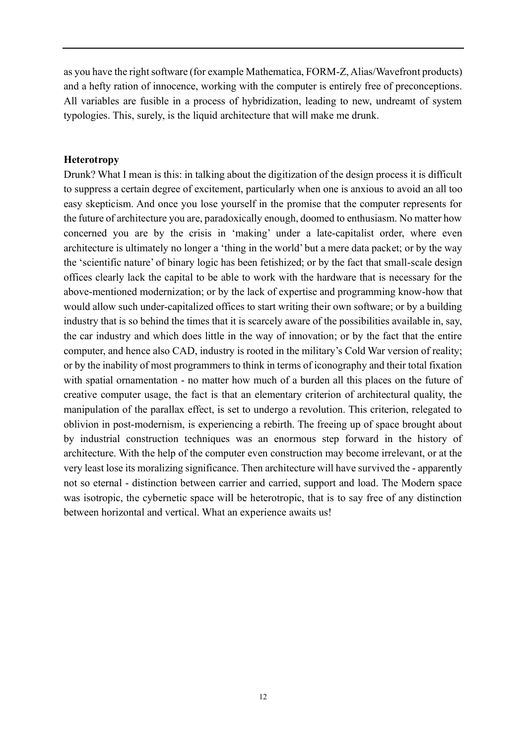as you have the right software (for example Mathematica, FORM-Z, Alias/Wavefront products) and a hefty ration of innocence, working with the computer is entirely free of preconceptions. All variables are fusible in a process of hybridization, leading to new, undreamt of system typologies. This, surely, is the liquid architecture that will make me drunk.

### **Heterotropy**

Drunk? What I mean is this: in talking about the digitization of the design process it is difficult to suppress a certain degree of excitement, particularly when one is anxious to avoid an all too easy skepticism. And once you lose yourself in the promise that the computer represents for the future of architecture you are, paradoxically enough, doomed to enthusiasm. No matter how concerned you are by the crisis in 'making' under a late-capitalist order, where even architecture is ultimately no longer a 'thing in the world' but a mere data packet; or by the way the 'scientific nature' of binary logic has been fetishized; or by the fact that small-scale design offices clearly lack the capital to be able to work with the hardware that is necessary for the above-mentioned modernization; or by the lack of expertise and programming know-how that would allow such under-capitalized offices to start writing their own software; or by a building industry that is so behind the times that it is scarcely aware of the possibilities available in, say, the car industry and which does little in the way of innovation; or by the fact that the entire computer, and hence also CAD, industry is rooted in the military's Cold War version of reality; or by the inability of most programmers to think in terms of iconography and their total fixation with spatial ornamentation - no matter how much of a burden all this places on the future of creative computer usage, the fact is that an elementary criterion of architectural quality, the manipulation of the parallax effect, is set to undergo a revolution. This criterion, relegated to oblivion in post-modernism, is experiencing a rebirth. The freeing up of space brought about by industrial construction techniques was an enormous step forward in the history of architecture. With the help of the computer even construction may become irrelevant, or at the very least lose its moralizing significance. Then architecture will have survived the - apparently not so eternal - distinction between carrier and carried, support and load. The Modern space was isotropic, the cybernetic space will be heterotropic, that is to say free of any distinction between horizontal and vertical. What an experience awaits us!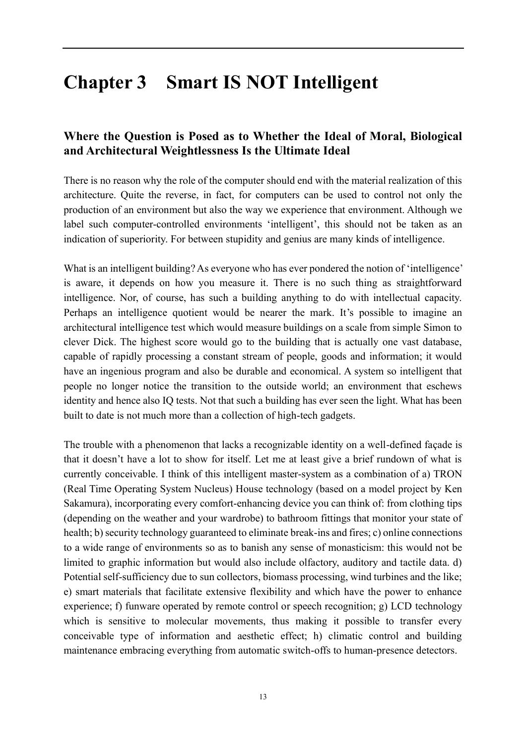# <span id="page-14-0"></span>**Chapter 3 Smart IS NOT Intelligent**

## **Where the Question is Posed as to Whether the Ideal of Moral, Biological and Architectural Weightlessness Is the Ultimate Ideal**

There is no reason why the role of the computer should end with the material realization of this architecture. Quite the reverse, in fact, for computers can be used to control not only the production of an environment but also the way we experience that environment. Although we label such computer-controlled environments 'intelligent', this should not be taken as an indication of superiority. For between stupidity and genius are many kinds of intelligence.

What is an intelligent building? As everyone who has ever pondered the notion of 'intelligence' is aware, it depends on how you measure it. There is no such thing as straightforward intelligence. Nor, of course, has such a building anything to do with intellectual capacity. Perhaps an intelligence quotient would be nearer the mark. It's possible to imagine an architectural intelligence test which would measure buildings on a scale from simple Simon to clever Dick. The highest score would go to the building that is actually one vast database, capable of rapidly processing a constant stream of people, goods and information; it would have an ingenious program and also be durable and economical. A system so intelligent that people no longer notice the transition to the outside world; an environment that eschews identity and hence also IQ tests. Not that such a building has ever seen the light. What has been built to date is not much more than a collection of high-tech gadgets.

The trouble with a phenomenon that lacks a recognizable identity on a well-defined façade is that it doesn't have a lot to show for itself. Let me at least give a brief rundown of what is currently conceivable. I think of this intelligent master-system as a combination of a) TRON (Real Time Operating System Nucleus) House technology (based on a model project by Ken Sakamura), incorporating every comfort-enhancing device you can think of: from clothing tips (depending on the weather and your wardrobe) to bathroom fittings that monitor your state of health; b) security technology guaranteed to eliminate break-ins and fires; c) online connections to a wide range of environments so as to banish any sense of monasticism: this would not be limited to graphic information but would also include olfactory, auditory and tactile data. d) Potential self-sufficiency due to sun collectors, biomass processing, wind turbines and the like; e) smart materials that facilitate extensive flexibility and which have the power to enhance experience; f) funware operated by remote control or speech recognition; g) LCD technology which is sensitive to molecular movements, thus making it possible to transfer every conceivable type of information and aesthetic effect; h) climatic control and building maintenance embracing everything from automatic switch-offs to human-presence detectors.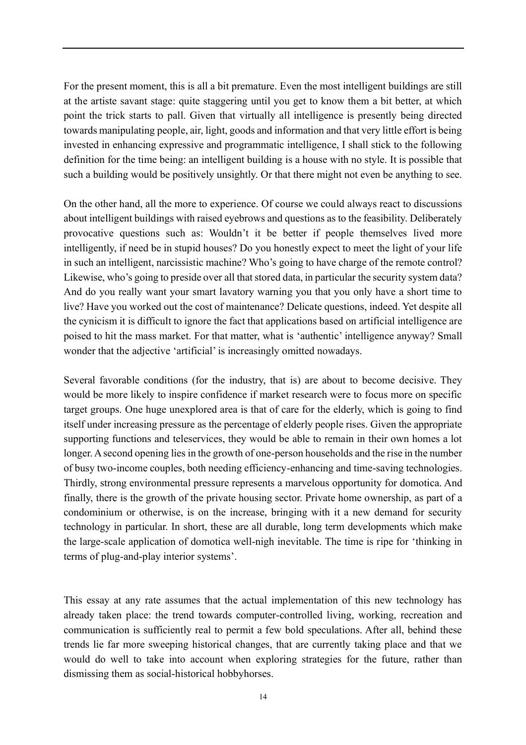For the present moment, this is all a bit premature. Even the most intelligent buildings are still at the artiste savant stage: quite staggering until you get to know them a bit better, at which point the trick starts to pall. Given that virtually all intelligence is presently being directed towards manipulating people, air, light, goods and information and that very little effort is being invested in enhancing expressive and programmatic intelligence, I shall stick to the following definition for the time being: an intelligent building is a house with no style. It is possible that such a building would be positively unsightly. Or that there might not even be anything to see.

On the other hand, all the more to experience. Of course we could always react to discussions about intelligent buildings with raised eyebrows and questions as to the feasibility. Deliberately provocative questions such as: Wouldn't it be better if people themselves lived more intelligently, if need be in stupid houses? Do you honestly expect to meet the light of your life in such an intelligent, narcissistic machine? Who's going to have charge of the remote control? Likewise, who's going to preside over all that stored data, in particular the security system data? And do you really want your smart lavatory warning you that you only have a short time to live? Have you worked out the cost of maintenance? Delicate questions, indeed. Yet despite all the cynicism it is difficult to ignore the fact that applications based on artificial intelligence are poised to hit the mass market. For that matter, what is 'authentic' intelligence anyway? Small wonder that the adjective 'artificial' is increasingly omitted nowadays.

Several favorable conditions (for the industry, that is) are about to become decisive. They would be more likely to inspire confidence if market research were to focus more on specific target groups. One huge unexplored area is that of care for the elderly, which is going to find itself under increasing pressure as the percentage of elderly people rises. Given the appropriate supporting functions and teleservices, they would be able to remain in their own homes a lot longer. A second opening lies in the growth of one-person households and the rise in the number of busy two-income couples, both needing efficiency-enhancing and time-saving technologies. Thirdly, strong environmental pressure represents a marvelous opportunity for domotica. And finally, there is the growth of the private housing sector. Private home ownership, as part of a condominium or otherwise, is on the increase, bringing with it a new demand for security technology in particular. In short, these are all durable, long term developments which make the large-scale application of domotica well-nigh inevitable. The time is ripe for 'thinking in terms of plug-and-play interior systems'.

This essay at any rate assumes that the actual implementation of this new technology has already taken place: the trend towards computer-controlled living, working, recreation and communication is sufficiently real to permit a few bold speculations. After all, behind these trends lie far more sweeping historical changes, that are currently taking place and that we would do well to take into account when exploring strategies for the future, rather than dismissing them as social-historical hobbyhorses.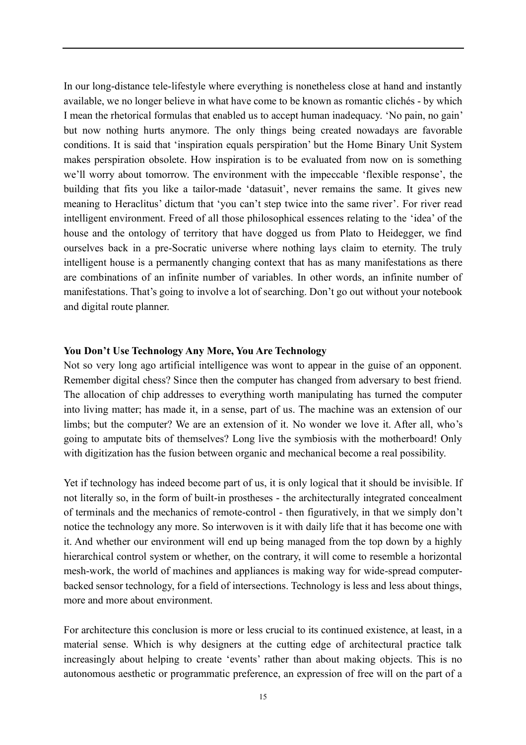In our long-distance tele-lifestyle where everything is nonetheless close at hand and instantly available, we no longer believe in what have come to be known as romantic clichés - by which I mean the rhetorical formulas that enabled us to accept human inadequacy. 'No pain, no gain' but now nothing hurts anymore. The only things being created nowadays are favorable conditions. It is said that 'inspiration equals perspiration' but the Home Binary Unit System makes perspiration obsolete. How inspiration is to be evaluated from now on is something we'll worry about tomorrow. The environment with the impeccable 'flexible response', the building that fits you like a tailor-made 'datasuit', never remains the same. It gives new meaning to Heraclitus' dictum that 'you can't step twice into the same river'. For river read intelligent environment. Freed of all those philosophical essences relating to the 'idea' of the house and the ontology of territory that have dogged us from Plato to Heidegger, we find ourselves back in a pre-Socratic universe where nothing lays claim to eternity. The truly intelligent house is a permanently changing context that has as many manifestations as there are combinations of an infinite number of variables. In other words, an infinite number of manifestations. That's going to involve a lot of searching. Don't go out without your notebook and digital route planner.

#### **You Don't Use Technology Any More, You Are Technology**

Not so very long ago artificial intelligence was wont to appear in the guise of an opponent. Remember digital chess? Since then the computer has changed from adversary to best friend. The allocation of chip addresses to everything worth manipulating has turned the computer into living matter; has made it, in a sense, part of us. The machine was an extension of our limbs; but the computer? We are an extension of it. No wonder we love it. After all, who's going to amputate bits of themselves? Long live the symbiosis with the motherboard! Only with digitization has the fusion between organic and mechanical become a real possibility.

Yet if technology has indeed become part of us, it is only logical that it should be invisible. If not literally so, in the form of built-in prostheses - the architecturally integrated concealment of terminals and the mechanics of remote-control - then figuratively, in that we simply don't notice the technology any more. So interwoven is it with daily life that it has become one with it. And whether our environment will end up being managed from the top down by a highly hierarchical control system or whether, on the contrary, it will come to resemble a horizontal mesh-work, the world of machines and appliances is making way for wide-spread computerbacked sensor technology, for a field of intersections. Technology is less and less about things, more and more about environment.

For architecture this conclusion is more or less crucial to its continued existence, at least, in a material sense. Which is why designers at the cutting edge of architectural practice talk increasingly about helping to create 'events' rather than about making objects. This is no autonomous aesthetic or programmatic preference, an expression of free will on the part of a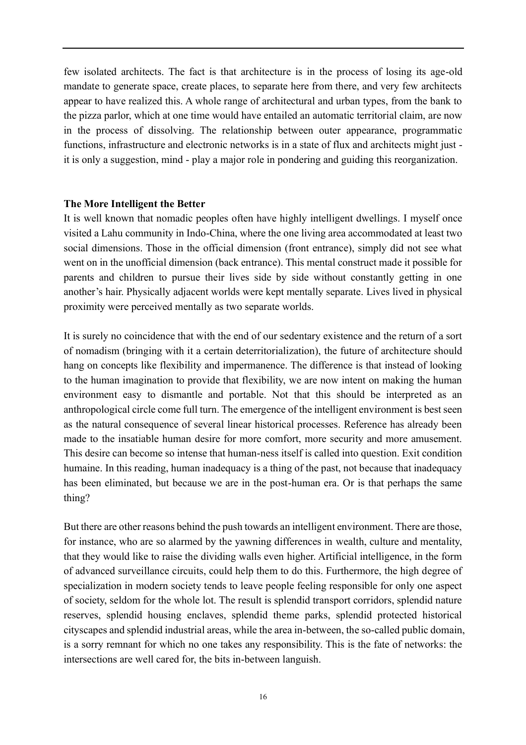few isolated architects. The fact is that architecture is in the process of losing its age-old mandate to generate space, create places, to separate here from there, and very few architects appear to have realized this. A whole range of architectural and urban types, from the bank to the pizza parlor, which at one time would have entailed an automatic territorial claim, are now in the process of dissolving. The relationship between outer appearance, programmatic functions, infrastructure and electronic networks is in a state of flux and architects might just it is only a suggestion, mind - play a major role in pondering and guiding this reorganization.

#### **The More Intelligent the Better**

It is well known that nomadic peoples often have highly intelligent dwellings. I myself once visited a Lahu community in Indo-China, where the one living area accommodated at least two social dimensions. Those in the official dimension (front entrance), simply did not see what went on in the unofficial dimension (back entrance). This mental construct made it possible for parents and children to pursue their lives side by side without constantly getting in one another's hair. Physically adjacent worlds were kept mentally separate. Lives lived in physical proximity were perceived mentally as two separate worlds.

It is surely no coincidence that with the end of our sedentary existence and the return of a sort of nomadism (bringing with it a certain deterritorialization), the future of architecture should hang on concepts like flexibility and impermanence. The difference is that instead of looking to the human imagination to provide that flexibility, we are now intent on making the human environment easy to dismantle and portable. Not that this should be interpreted as an anthropological circle come full turn. The emergence of the intelligent environment is best seen as the natural consequence of several linear historical processes. Reference has already been made to the insatiable human desire for more comfort, more security and more amusement. This desire can become so intense that human-ness itself is called into question. Exit condition humaine. In this reading, human inadequacy is a thing of the past, not because that inadequacy has been eliminated, but because we are in the post-human era. Or is that perhaps the same thing?

But there are other reasons behind the push towards an intelligent environment. There are those, for instance, who are so alarmed by the yawning differences in wealth, culture and mentality, that they would like to raise the dividing walls even higher. Artificial intelligence, in the form of advanced surveillance circuits, could help them to do this. Furthermore, the high degree of specialization in modern society tends to leave people feeling responsible for only one aspect of society, seldom for the whole lot. The result is splendid transport corridors, splendid nature reserves, splendid housing enclaves, splendid theme parks, splendid protected historical cityscapes and splendid industrial areas, while the area in-between, the so-called public domain, is a sorry remnant for which no one takes any responsibility. This is the fate of networks: the intersections are well cared for, the bits in-between languish.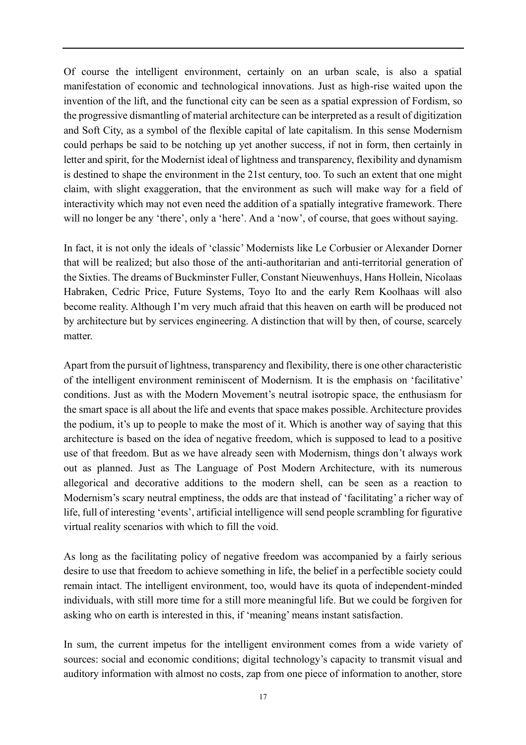Of course the intelligent environment, certainly on an urban scale, is also a spatial manifestation of economic and technological innovations. Just as high-rise waited upon the invention of the lift, and the functional city can be seen as a spatial expression of Fordism, so the progressive dismantling of material architecture can be interpreted as a result of digitization and Soft City, as a symbol of the flexible capital of late capitalism. In this sense Modernism could perhaps be said to be notching up yet another success, if not in form, then certainly in letter and spirit, for the Modernist ideal of lightness and transparency, flexibility and dynamism is destined to shape the environment in the 21st century, too. To such an extent that one might claim, with slight exaggeration, that the environment as such will make way for a field of interactivity which may not even need the addition of a spatially integrative framework. There will no longer be any 'there', only a 'here'. And a 'now', of course, that goes without saying.

In fact, it is not only the ideals of 'classic' Modernists like Le Corbusier or Alexander Dorner that will be realized; but also those of the anti-authoritarian and anti-territorial generation of the Sixties. The dreams of Buckminster Fuller, Constant Nieuwenhuys, Hans Hollein, Nicolaas Habraken, Cedric Price, Future Systems, Toyo Ito and the early Rem Koolhaas will also become reality. Although I'm very much afraid that this heaven on earth will be produced not by architecture but by services engineering. A distinction that will by then, of course, scarcely matter.

Apart from the pursuit of lightness, transparency and flexibility, there is one other characteristic of the intelligent environment reminiscent of Modernism. It is the emphasis on 'facilitative' conditions. Just as with the Modern Movement's neutral isotropic space, the enthusiasm for the smart space is all about the life and events that space makes possible. Architecture provides the podium, it's up to people to make the most of it. Which is another way of saying that this architecture is based on the idea of negative freedom, which is supposed to lead to a positive use of that freedom. But as we have already seen with Modernism, things don't always work out as planned. Just as The Language of Post Modern Architecture, with its numerous allegorical and decorative additions to the modern shell, can be seen as a reaction to Modernism's scary neutral emptiness, the odds are that instead of 'facilitating' a richer way of life, full of interesting 'events', artificial intelligence will send people scrambling for figurative virtual reality scenarios with which to fill the void.

As long as the facilitating policy of negative freedom was accompanied by a fairly serious desire to use that freedom to achieve something in life, the belief in a perfectible society could remain intact. The intelligent environment, too, would have its quota of independent-minded individuals, with still more time for a still more meaningful life. But we could be forgiven for asking who on earth is interested in this, if 'meaning' means instant satisfaction.

In sum, the current impetus for the intelligent environment comes from a wide variety of sources: social and economic conditions; digital technology's capacity to transmit visual and auditory information with almost no costs, zap from one piece of information to another, store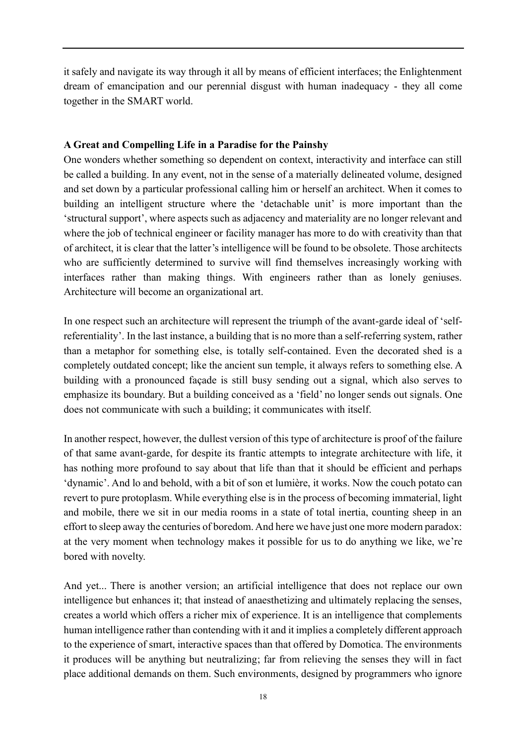it safely and navigate its way through it all by means of efficient interfaces; the Enlightenment dream of emancipation and our perennial disgust with human inadequacy - they all come together in the SMART world.

## **A Great and Compelling Life in a Paradise for the Painshy**

One wonders whether something so dependent on context, interactivity and interface can still be called a building. In any event, not in the sense of a materially delineated volume, designed and set down by a particular professional calling him or herself an architect. When it comes to building an intelligent structure where the 'detachable unit' is more important than the 'structural support', where aspects such as adjacency and materiality are no longer relevant and where the job of technical engineer or facility manager has more to do with creativity than that of architect, it is clear that the latter's intelligence will be found to be obsolete. Those architects who are sufficiently determined to survive will find themselves increasingly working with interfaces rather than making things. With engineers rather than as lonely geniuses. Architecture will become an organizational art.

In one respect such an architecture will represent the triumph of the avant-garde ideal of 'selfreferentiality'. In the last instance, a building that is no more than a self-referring system, rather than a metaphor for something else, is totally self-contained. Even the decorated shed is a completely outdated concept; like the ancient sun temple, it always refers to something else. A building with a pronounced façade is still busy sending out a signal, which also serves to emphasize its boundary. But a building conceived as a 'field' no longer sends out signals. One does not communicate with such a building; it communicates with itself.

In another respect, however, the dullest version of this type of architecture is proof of the failure of that same avant-garde, for despite its frantic attempts to integrate architecture with life, it has nothing more profound to say about that life than that it should be efficient and perhaps 'dynamic'. And lo and behold, with a bit of son et lumière, it works. Now the couch potato can revert to pure protoplasm. While everything else is in the process of becoming immaterial, light and mobile, there we sit in our media rooms in a state of total inertia, counting sheep in an effort to sleep away the centuries of boredom. And here we have just one more modern paradox: at the very moment when technology makes it possible for us to do anything we like, we're bored with novelty.

And yet... There is another version; an artificial intelligence that does not replace our own intelligence but enhances it; that instead of anaesthetizing and ultimately replacing the senses, creates a world which offers a richer mix of experience. It is an intelligence that complements human intelligence rather than contending with it and it implies a completely different approach to the experience of smart, interactive spaces than that offered by Domotica. The environments it produces will be anything but neutralizing; far from relieving the senses they will in fact place additional demands on them. Such environments, designed by programmers who ignore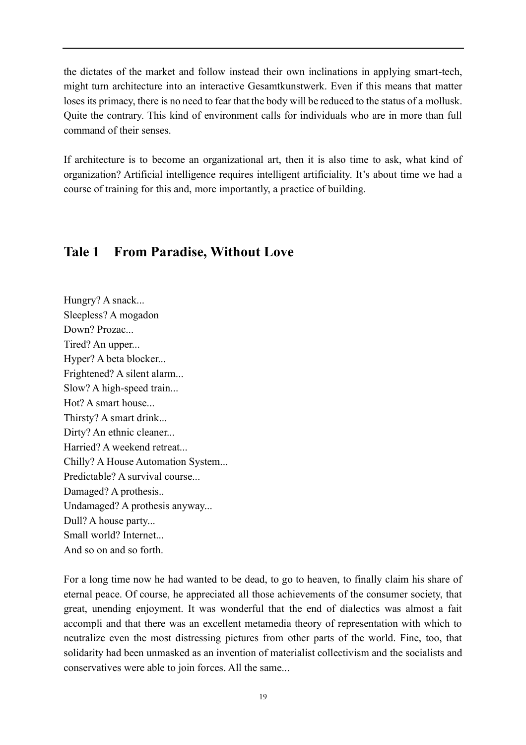the dictates of the market and follow instead their own inclinations in applying smart-tech, might turn architecture into an interactive Gesamtkunstwerk. Even if this means that matter loses its primacy, there is no need to fear that the body will be reduced to the status of a mollusk. Quite the contrary. This kind of environment calls for individuals who are in more than full command of their senses.

If architecture is to become an organizational art, then it is also time to ask, what kind of organization? Artificial intelligence requires intelligent artificiality. It's about time we had a course of training for this and, more importantly, a practice of building.

## <span id="page-20-0"></span>**Tale 1 From Paradise, Without Love**

Hungry? A snack... Sleepless? A mogadon Down? Prozac... Tired? An upper... Hyper? A beta blocker... Frightened? A silent alarm... Slow? A high-speed train... Hot? A smart house... Thirsty? A smart drink... Dirty? An ethnic cleaner... Harried? A weekend retreat... Chilly? A House Automation System... Predictable? A survival course... Damaged? A prothesis.. Undamaged? A prothesis anyway... Dull? A house party... Small world? Internet... And so on and so forth.

For a long time now he had wanted to be dead, to go to heaven, to finally claim his share of eternal peace. Of course, he appreciated all those achievements of the consumer society, that great, unending enjoyment. It was wonderful that the end of dialectics was almost a fait accompli and that there was an excellent metamedia theory of representation with which to neutralize even the most distressing pictures from other parts of the world. Fine, too, that solidarity had been unmasked as an invention of materialist collectivism and the socialists and conservatives were able to join forces. All the same...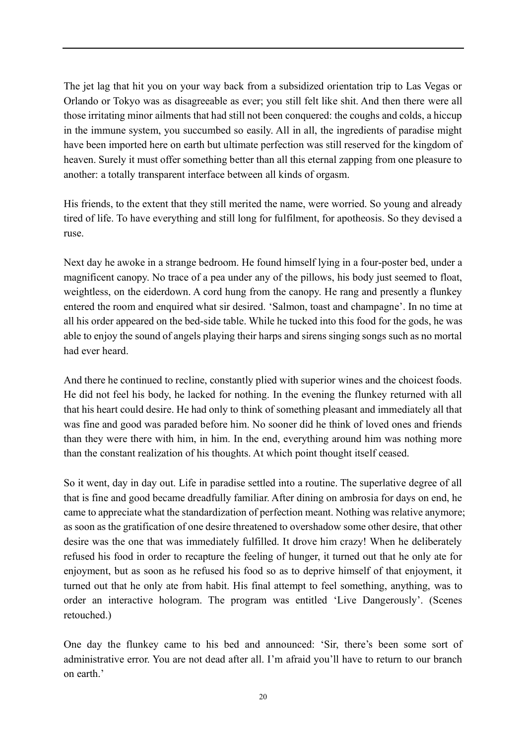The jet lag that hit you on your way back from a subsidized orientation trip to Las Vegas or Orlando or Tokyo was as disagreeable as ever; you still felt like shit. And then there were all those irritating minor ailments that had still not been conquered: the coughs and colds, a hiccup in the immune system, you succumbed so easily. All in all, the ingredients of paradise might have been imported here on earth but ultimate perfection was still reserved for the kingdom of heaven. Surely it must offer something better than all this eternal zapping from one pleasure to another: a totally transparent interface between all kinds of orgasm.

His friends, to the extent that they still merited the name, were worried. So young and already tired of life. To have everything and still long for fulfilment, for apotheosis. So they devised a ruse.

Next day he awoke in a strange bedroom. He found himself lying in a four-poster bed, under a magnificent canopy. No trace of a pea under any of the pillows, his body just seemed to float, weightless, on the eiderdown. A cord hung from the canopy. He rang and presently a flunkey entered the room and enquired what sir desired. 'Salmon, toast and champagne'. In no time at all his order appeared on the bed-side table. While he tucked into this food for the gods, he was able to enjoy the sound of angels playing their harps and sirens singing songs such as no mortal had ever heard.

And there he continued to recline, constantly plied with superior wines and the choicest foods. He did not feel his body, he lacked for nothing. In the evening the flunkey returned with all that his heart could desire. He had only to think of something pleasant and immediately all that was fine and good was paraded before him. No sooner did he think of loved ones and friends than they were there with him, in him. In the end, everything around him was nothing more than the constant realization of his thoughts. At which point thought itself ceased.

So it went, day in day out. Life in paradise settled into a routine. The superlative degree of all that is fine and good became dreadfully familiar. After dining on ambrosia for days on end, he came to appreciate what the standardization of perfection meant. Nothing was relative anymore; as soon as the gratification of one desire threatened to overshadow some other desire, that other desire was the one that was immediately fulfilled. It drove him crazy! When he deliberately refused his food in order to recapture the feeling of hunger, it turned out that he only ate for enjoyment, but as soon as he refused his food so as to deprive himself of that enjoyment, it turned out that he only ate from habit. His final attempt to feel something, anything, was to order an interactive hologram. The program was entitled 'Live Dangerously'. (Scenes retouched.)

One day the flunkey came to his bed and announced: 'Sir, there's been some sort of administrative error. You are not dead after all. I'm afraid you'll have to return to our branch on earth.'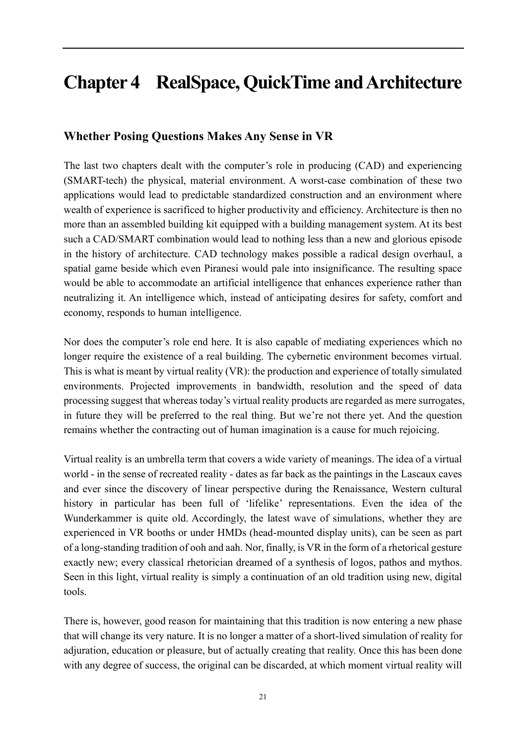## <span id="page-22-0"></span>**Chapter 4 RealSpace, QuickTime and Architecture**

## **Whether Posing Questions Makes Any Sense in VR**

The last two chapters dealt with the computer's role in producing (CAD) and experiencing (SMART-tech) the physical, material environment. A worst-case combination of these two applications would lead to predictable standardized construction and an environment where wealth of experience is sacrificed to higher productivity and efficiency. Architecture is then no more than an assembled building kit equipped with a building management system. At its best such a CAD/SMART combination would lead to nothing less than a new and glorious episode in the history of architecture. CAD technology makes possible a radical design overhaul, a spatial game beside which even Piranesi would pale into insignificance. The resulting space would be able to accommodate an artificial intelligence that enhances experience rather than neutralizing it. An intelligence which, instead of anticipating desires for safety, comfort and economy, responds to human intelligence.

Nor does the computer's role end here. It is also capable of mediating experiences which no longer require the existence of a real building. The cybernetic environment becomes virtual. This is what is meant by virtual reality (VR): the production and experience of totally simulated environments. Projected improvements in bandwidth, resolution and the speed of data processing suggest that whereas today's virtual reality products are regarded as mere surrogates, in future they will be preferred to the real thing. But we're not there yet. And the question remains whether the contracting out of human imagination is a cause for much rejoicing.

Virtual reality is an umbrella term that covers a wide variety of meanings. The idea of a virtual world - in the sense of recreated reality - dates as far back as the paintings in the Lascaux caves and ever since the discovery of linear perspective during the Renaissance, Western cultural history in particular has been full of 'lifelike' representations. Even the idea of the Wunderkammer is quite old. Accordingly, the latest wave of simulations, whether they are experienced in VR booths or under HMDs (head-mounted display units), can be seen as part of a long-standing tradition of ooh and aah. Nor, finally, is VR in the form of a rhetorical gesture exactly new; every classical rhetorician dreamed of a synthesis of logos, pathos and mythos. Seen in this light, virtual reality is simply a continuation of an old tradition using new, digital tools.

There is, however, good reason for maintaining that this tradition is now entering a new phase that will change its very nature. It is no longer a matter of a short-lived simulation of reality for adjuration, education or pleasure, but of actually creating that reality. Once this has been done with any degree of success, the original can be discarded, at which moment virtual reality will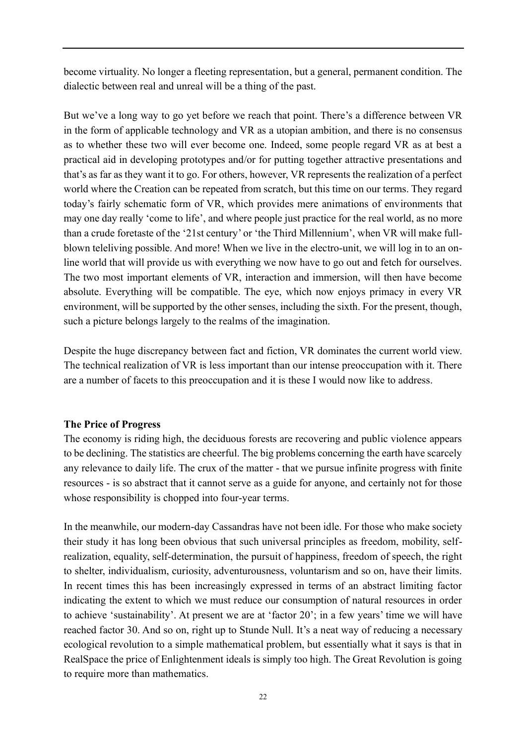become virtuality. No longer a fleeting representation, but a general, permanent condition. The dialectic between real and unreal will be a thing of the past.

But we've a long way to go yet before we reach that point. There's a difference between VR in the form of applicable technology and VR as a utopian ambition, and there is no consensus as to whether these two will ever become one. Indeed, some people regard VR as at best a practical aid in developing prototypes and/or for putting together attractive presentations and that's as far as they want it to go. For others, however, VR represents the realization of a perfect world where the Creation can be repeated from scratch, but this time on our terms. They regard today's fairly schematic form of VR, which provides mere animations of environments that may one day really 'come to life', and where people just practice for the real world, as no more than a crude foretaste of the '21st century' or 'the Third Millennium', when VR will make fullblown teleliving possible. And more! When we live in the electro-unit, we will log in to an online world that will provide us with everything we now have to go out and fetch for ourselves. The two most important elements of VR, interaction and immersion, will then have become absolute. Everything will be compatible. The eye, which now enjoys primacy in every VR environment, will be supported by the other senses, including the sixth. For the present, though, such a picture belongs largely to the realms of the imagination.

Despite the huge discrepancy between fact and fiction, VR dominates the current world view. The technical realization of VR is less important than our intense preoccupation with it. There are a number of facets to this preoccupation and it is these I would now like to address.

## **The Price of Progress**

The economy is riding high, the deciduous forests are recovering and public violence appears to be declining. The statistics are cheerful. The big problems concerning the earth have scarcely any relevance to daily life. The crux of the matter - that we pursue infinite progress with finite resources - is so abstract that it cannot serve as a guide for anyone, and certainly not for those whose responsibility is chopped into four-year terms.

In the meanwhile, our modern-day Cassandras have not been idle. For those who make society their study it has long been obvious that such universal principles as freedom, mobility, selfrealization, equality, self-determination, the pursuit of happiness, freedom of speech, the right to shelter, individualism, curiosity, adventurousness, voluntarism and so on, have their limits. In recent times this has been increasingly expressed in terms of an abstract limiting factor indicating the extent to which we must reduce our consumption of natural resources in order to achieve 'sustainability'. At present we are at 'factor 20'; in a few years' time we will have reached factor 30. And so on, right up to Stunde Null. It's a neat way of reducing a necessary ecological revolution to a simple mathematical problem, but essentially what it says is that in RealSpace the price of Enlightenment ideals is simply too high. The Great Revolution is going to require more than mathematics.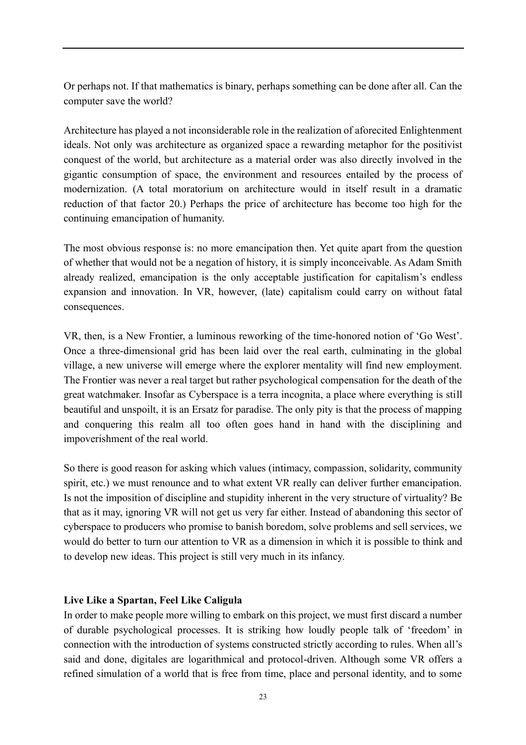Or perhaps not. If that mathematics is binary, perhaps something can be done after all. Can the computer save the world?

Architecture has played a not inconsiderable role in the realization of aforecited Enlightenment ideals. Not only was architecture as organized space a rewarding metaphor for the positivist conquest of the world, but architecture as a material order was also directly involved in the gigantic consumption of space, the environment and resources entailed by the process of modernization. (A total moratorium on architecture would in itself result in a dramatic reduction of that factor 20.) Perhaps the price of architecture has become too high for the continuing emancipation of humanity.

The most obvious response is: no more emancipation then. Yet quite apart from the question of whether that would not be a negation of history, it is simply inconceivable. As Adam Smith already realized, emancipation is the only acceptable justification for capitalism's endless expansion and innovation. In VR, however, (late) capitalism could carry on without fatal consequences.

VR, then, is a New Frontier, a luminous reworking of the time-honored notion of 'Go West'. Once a three-dimensional grid has been laid over the real earth, culminating in the global village, a new universe will emerge where the explorer mentality will find new employment. The Frontier was never a real target but rather psychological compensation for the death of the great watchmaker. Insofar as Cyberspace is a terra incognita, a place where everything is still beautiful and unspoilt, it is an Ersatz for paradise. The only pity is that the process of mapping and conquering this realm all too often goes hand in hand with the disciplining and impoverishment of the real world.

So there is good reason for asking which values (intimacy, compassion, solidarity, community spirit, etc.) we must renounce and to what extent VR really can deliver further emancipation. Is not the imposition of discipline and stupidity inherent in the very structure of virtuality? Be that as it may, ignoring VR will not get us very far either. Instead of abandoning this sector of cyberspace to producers who promise to banish boredom, solve problems and sell services, we would do better to turn our attention to VR as a dimension in which it is possible to think and to develop new ideas. This project is still very much in its infancy.

## **Live Like a Spartan, Feel Like Caligula**

In order to make people more willing to embark on this project, we must first discard a number of durable psychological processes. It is striking how loudly people talk of 'freedom' in connection with the introduction of systems constructed strictly according to rules. When all's said and done, digitales are logarithmical and protocol-driven. Although some VR offers a refined simulation of a world that is free from time, place and personal identity, and to some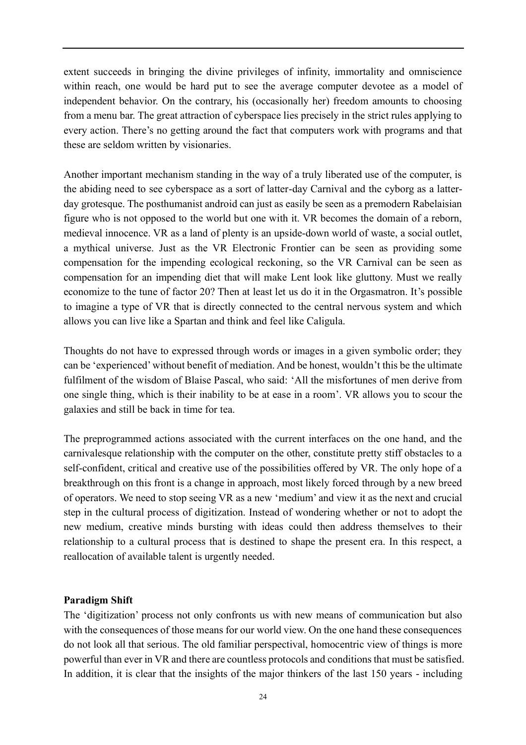extent succeeds in bringing the divine privileges of infinity, immortality and omniscience within reach, one would be hard put to see the average computer devotee as a model of independent behavior. On the contrary, his (occasionally her) freedom amounts to choosing from a menu bar. The great attraction of cyberspace lies precisely in the strict rules applying to every action. There's no getting around the fact that computers work with programs and that these are seldom written by visionaries.

Another important mechanism standing in the way of a truly liberated use of the computer, is the abiding need to see cyberspace as a sort of latter-day Carnival and the cyborg as a latterday grotesque. The posthumanist android can just as easily be seen as a premodern Rabelaisian figure who is not opposed to the world but one with it. VR becomes the domain of a reborn, medieval innocence. VR as a land of plenty is an upside-down world of waste, a social outlet, a mythical universe. Just as the VR Electronic Frontier can be seen as providing some compensation for the impending ecological reckoning, so the VR Carnival can be seen as compensation for an impending diet that will make Lent look like gluttony. Must we really economize to the tune of factor 20? Then at least let us do it in the Orgasmatron. It's possible to imagine a type of VR that is directly connected to the central nervous system and which allows you can live like a Spartan and think and feel like Caligula.

Thoughts do not have to expressed through words or images in a given symbolic order; they can be 'experienced' without benefit of mediation. And be honest, wouldn't this be the ultimate fulfilment of the wisdom of Blaise Pascal, who said: 'All the misfortunes of men derive from one single thing, which is their inability to be at ease in a room'. VR allows you to scour the galaxies and still be back in time for tea.

The preprogrammed actions associated with the current interfaces on the one hand, and the carnivalesque relationship with the computer on the other, constitute pretty stiff obstacles to a self-confident, critical and creative use of the possibilities offered by VR. The only hope of a breakthrough on this front is a change in approach, most likely forced through by a new breed of operators. We need to stop seeing VR as a new 'medium' and view it as the next and crucial step in the cultural process of digitization. Instead of wondering whether or not to adopt the new medium, creative minds bursting with ideas could then address themselves to their relationship to a cultural process that is destined to shape the present era. In this respect, a reallocation of available talent is urgently needed.

## **Paradigm Shift**

The 'digitization' process not only confronts us with new means of communication but also with the consequences of those means for our world view. On the one hand these consequences do not look all that serious. The old familiar perspectival, homocentric view of things is more powerful than ever in VR and there are countless protocols and conditions that must be satisfied. In addition, it is clear that the insights of the major thinkers of the last 150 years - including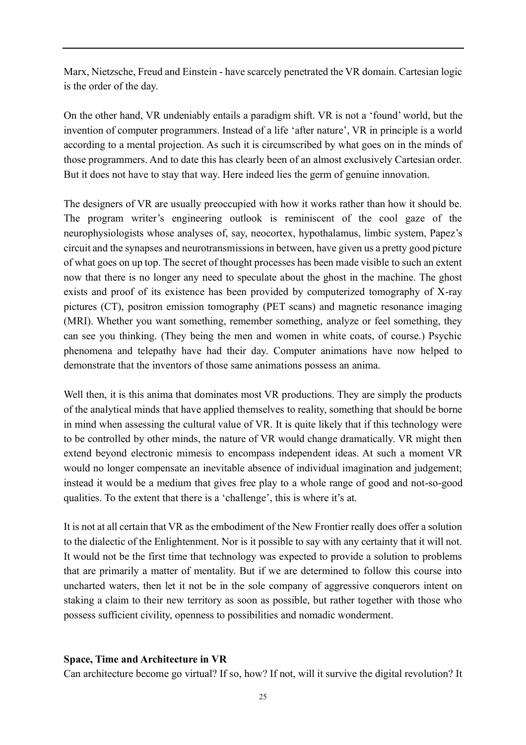Marx, Nietzsche, Freud and Einstein - have scarcely penetrated the VR domain. Cartesian logic is the order of the day.

On the other hand, VR undeniably entails a paradigm shift. VR is not a 'found' world, but the invention of computer programmers. Instead of a life 'after nature', VR in principle is a world according to a mental projection. As such it is circumscribed by what goes on in the minds of those programmers. And to date this has clearly been of an almost exclusively Cartesian order. But it does not have to stay that way. Here indeed lies the germ of genuine innovation.

The designers of VR are usually preoccupied with how it works rather than how it should be. The program writer's engineering outlook is reminiscent of the cool gaze of the neurophysiologists whose analyses of, say, neocortex, hypothalamus, limbic system, Papez's circuit and the synapses and neurotransmissions in between, have given us a pretty good picture of what goes on up top. The secret of thought processes has been made visible to such an extent now that there is no longer any need to speculate about the ghost in the machine. The ghost exists and proof of its existence has been provided by computerized tomography of X-ray pictures (CT), positron emission tomography (PET scans) and magnetic resonance imaging (MRI). Whether you want something, remember something, analyze or feel something, they can see you thinking. (They being the men and women in white coats, of course.) Psychic phenomena and telepathy have had their day. Computer animations have now helped to demonstrate that the inventors of those same animations possess an anima.

Well then, it is this anima that dominates most VR productions. They are simply the products of the analytical minds that have applied themselves to reality, something that should be borne in mind when assessing the cultural value of VR. It is quite likely that if this technology were to be controlled by other minds, the nature of VR would change dramatically. VR might then extend beyond electronic mimesis to encompass independent ideas. At such a moment VR would no longer compensate an inevitable absence of individual imagination and judgement; instead it would be a medium that gives free play to a whole range of good and not-so-good qualities. To the extent that there is a 'challenge', this is where it's at.

It is not at all certain that VR as the embodiment of the New Frontier really does offer a solution to the dialectic of the Enlightenment. Nor is it possible to say with any certainty that it will not. It would not be the first time that technology was expected to provide a solution to problems that are primarily a matter of mentality. But if we are determined to follow this course into uncharted waters, then let it not be in the sole company of aggressive conquerors intent on staking a claim to their new territory as soon as possible, but rather together with those who possess sufficient civility, openness to possibilities and nomadic wonderment.

#### **Space, Time and Architecture in VR**

Can architecture become go virtual? If so, how? If not, will it survive the digital revolution? It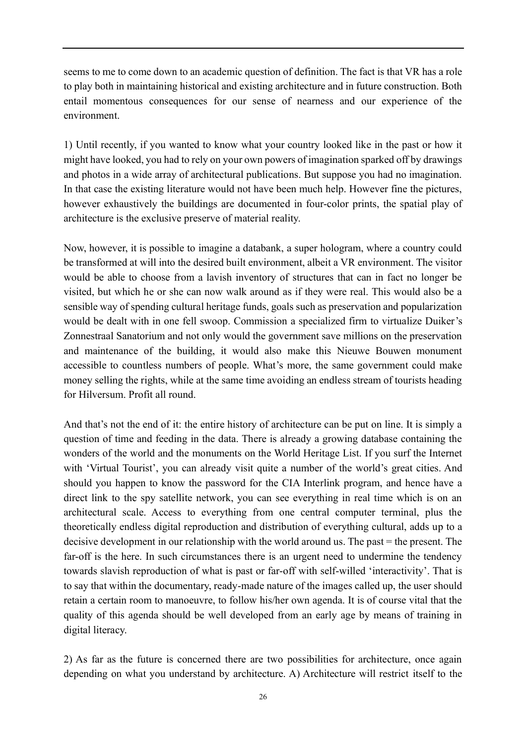seems to me to come down to an academic question of definition. The fact is that VR has a role to play both in maintaining historical and existing architecture and in future construction. Both entail momentous consequences for our sense of nearness and our experience of the environment.

1) Until recently, if you wanted to know what your country looked like in the past or how it might have looked, you had to rely on your own powers of imagination sparked off by drawings and photos in a wide array of architectural publications. But suppose you had no imagination. In that case the existing literature would not have been much help. However fine the pictures, however exhaustively the buildings are documented in four-color prints, the spatial play of architecture is the exclusive preserve of material reality.

Now, however, it is possible to imagine a databank, a super hologram, where a country could be transformed at will into the desired built environment, albeit a VR environment. The visitor would be able to choose from a lavish inventory of structures that can in fact no longer be visited, but which he or she can now walk around as if they were real. This would also be a sensible way of spending cultural heritage funds, goals such as preservation and popularization would be dealt with in one fell swoop. Commission a specialized firm to virtualize Duiker's Zonnestraal Sanatorium and not only would the government save millions on the preservation and maintenance of the building, it would also make this Nieuwe Bouwen monument accessible to countless numbers of people. What's more, the same government could make money selling the rights, while at the same time avoiding an endless stream of tourists heading for Hilversum. Profit all round.

And that's not the end of it: the entire history of architecture can be put on line. It is simply a question of time and feeding in the data. There is already a growing database containing the wonders of the world and the monuments on the World Heritage List. If you surf the Internet with 'Virtual Tourist', you can already visit quite a number of the world's great cities. And should you happen to know the password for the CIA Interlink program, and hence have a direct link to the spy satellite network, you can see everything in real time which is on an architectural scale. Access to everything from one central computer terminal, plus the theoretically endless digital reproduction and distribution of everything cultural, adds up to a decisive development in our relationship with the world around us. The past = the present. The far-off is the here. In such circumstances there is an urgent need to undermine the tendency towards slavish reproduction of what is past or far-off with self-willed 'interactivity'. That is to say that within the documentary, ready-made nature of the images called up, the user should retain a certain room to manoeuvre, to follow his/her own agenda. It is of course vital that the quality of this agenda should be well developed from an early age by means of training in digital literacy.

2) As far as the future is concerned there are two possibilities for architecture, once again depending on what you understand by architecture. A) Architecture will restrict itself to the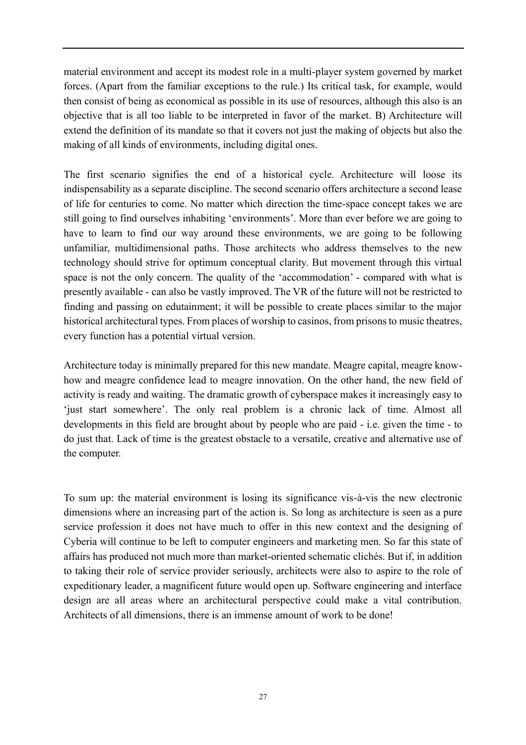material environment and accept its modest role in a multi-player system governed by market forces. (Apart from the familiar exceptions to the rule.) Its critical task, for example, would then consist of being as economical as possible in its use of resources, although this also is an objective that is all too liable to be interpreted in favor of the market. B) Architecture will extend the definition of its mandate so that it covers not just the making of objects but also the making of all kinds of environments, including digital ones.

The first scenario signifies the end of a historical cycle. Architecture will loose its indispensability as a separate discipline. The second scenario offers architecture a second lease of life for centuries to come. No matter which direction the time-space concept takes we are still going to find ourselves inhabiting 'environments'. More than ever before we are going to have to learn to find our way around these environments, we are going to be following unfamiliar, multidimensional paths. Those architects who address themselves to the new technology should strive for optimum conceptual clarity. But movement through this virtual space is not the only concern. The quality of the 'accommodation' - compared with what is presently available - can also be vastly improved. The VR of the future will not be restricted to finding and passing on edutainment; it will be possible to create places similar to the major historical architectural types. From places of worship to casinos, from prisons to music theatres, every function has a potential virtual version.

Architecture today is minimally prepared for this new mandate. Meagre capital, meagre knowhow and meagre confidence lead to meagre innovation. On the other hand, the new field of activity is ready and waiting. The dramatic growth of cyberspace makes it increasingly easy to 'just start somewhere'. The only real problem is a chronic lack of time. Almost all developments in this field are brought about by people who are paid - i.e. given the time - to do just that. Lack of time is the greatest obstacle to a versatile, creative and alternative use of the computer.

To sum up: the material environment is losing its significance vis-à-vis the new electronic dimensions where an increasing part of the action is. So long as architecture is seen as a pure service profession it does not have much to offer in this new context and the designing of Cyberia will continue to be left to computer engineers and marketing men. So far this state of affairs has produced not much more than market-oriented schematic clichés. But if, in addition to taking their role of service provider seriously, architects were also to aspire to the role of expeditionary leader, a magnificent future would open up. Software engineering and interface design are all areas where an architectural perspective could make a vital contribution. Architects of all dimensions, there is an immense amount of work to be done!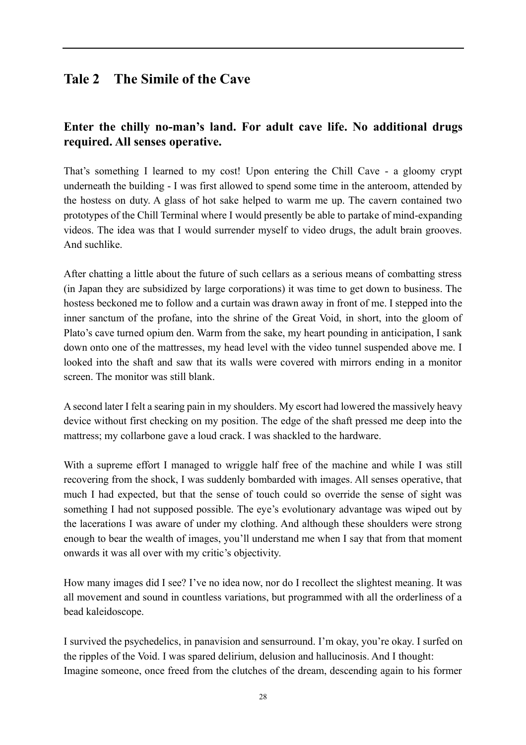## <span id="page-29-0"></span>**Tale 2 The Simile of the Cave**

## **Enter the chilly no-man's land. For adult cave life. No additional drugs required. All senses operative.**

That's something I learned to my cost! Upon entering the Chill Cave - a gloomy crypt underneath the building - I was first allowed to spend some time in the anteroom, attended by the hostess on duty. A glass of hot sake helped to warm me up. The cavern contained two prototypes of the Chill Terminal where I would presently be able to partake of mind-expanding videos. The idea was that I would surrender myself to video drugs, the adult brain grooves. And suchlike.

After chatting a little about the future of such cellars as a serious means of combatting stress (in Japan they are subsidized by large corporations) it was time to get down to business. The hostess beckoned me to follow and a curtain was drawn away in front of me. I stepped into the inner sanctum of the profane, into the shrine of the Great Void, in short, into the gloom of Plato's cave turned opium den. Warm from the sake, my heart pounding in anticipation, I sank down onto one of the mattresses, my head level with the video tunnel suspended above me. I looked into the shaft and saw that its walls were covered with mirrors ending in a monitor screen. The monitor was still blank.

A second later I felt a searing pain in my shoulders. My escort had lowered the massively heavy device without first checking on my position. The edge of the shaft pressed me deep into the mattress; my collarbone gave a loud crack. I was shackled to the hardware.

With a supreme effort I managed to wriggle half free of the machine and while I was still recovering from the shock, I was suddenly bombarded with images. All senses operative, that much I had expected, but that the sense of touch could so override the sense of sight was something I had not supposed possible. The eye's evolutionary advantage was wiped out by the lacerations I was aware of under my clothing. And although these shoulders were strong enough to bear the wealth of images, you'll understand me when I say that from that moment onwards it was all over with my critic's objectivity.

How many images did I see? I've no idea now, nor do I recollect the slightest meaning. It was all movement and sound in countless variations, but programmed with all the orderliness of a bead kaleidoscope.

I survived the psychedelics, in panavision and sensurround. I'm okay, you're okay. I surfed on the ripples of the Void. I was spared delirium, delusion and hallucinosis. And I thought: Imagine someone, once freed from the clutches of the dream, descending again to his former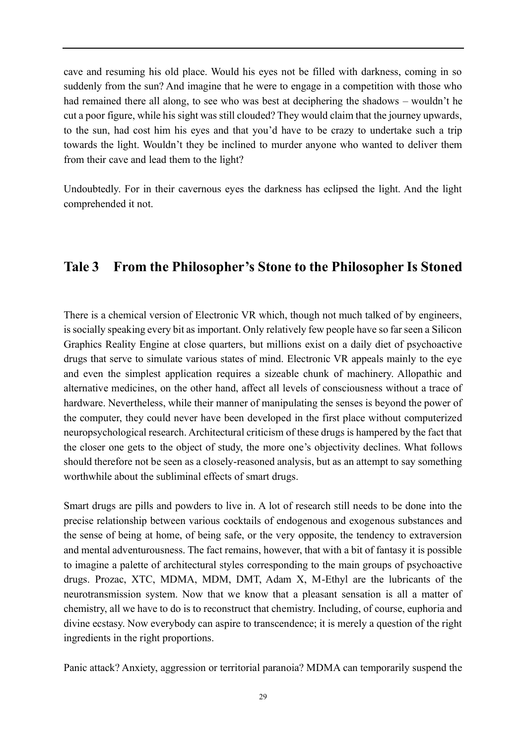cave and resuming his old place. Would his eyes not be filled with darkness, coming in so suddenly from the sun? And imagine that he were to engage in a competition with those who had remained there all along, to see who was best at deciphering the shadows – wouldn't he cut a poor figure, while his sight was still clouded? They would claim that the journey upwards, to the sun, had cost him his eyes and that you'd have to be crazy to undertake such a trip towards the light. Wouldn't they be inclined to murder anyone who wanted to deliver them from their cave and lead them to the light?

Undoubtedly. For in their cavernous eyes the darkness has eclipsed the light. And the light comprehended it not.

## <span id="page-30-0"></span>**Tale 3 From the Philosopher's Stone to the Philosopher Is Stoned**

There is a chemical version of Electronic VR which, though not much talked of by engineers, is socially speaking every bit as important. Only relatively few people have so far seen a Silicon Graphics Reality Engine at close quarters, but millions exist on a daily diet of psychoactive drugs that serve to simulate various states of mind. Electronic VR appeals mainly to the eye and even the simplest application requires a sizeable chunk of machinery. Allopathic and alternative medicines, on the other hand, affect all levels of consciousness without a trace of hardware. Nevertheless, while their manner of manipulating the senses is beyond the power of the computer, they could never have been developed in the first place without computerized neuropsychological research. Architectural criticism of these drugs is hampered by the fact that the closer one gets to the object of study, the more one's objectivity declines. What follows should therefore not be seen as a closely-reasoned analysis, but as an attempt to say something worthwhile about the subliminal effects of smart drugs.

Smart drugs are pills and powders to live in. A lot of research still needs to be done into the precise relationship between various cocktails of endogenous and exogenous substances and the sense of being at home, of being safe, or the very opposite, the tendency to extraversion and mental adventurousness. The fact remains, however, that with a bit of fantasy it is possible to imagine a palette of architectural styles corresponding to the main groups of psychoactive drugs. Prozac, XTC, MDMA, MDM, DMT, Adam X, M-Ethyl are the lubricants of the neurotransmission system. Now that we know that a pleasant sensation is all a matter of chemistry, all we have to do is to reconstruct that chemistry. Including, of course, euphoria and divine ecstasy. Now everybody can aspire to transcendence; it is merely a question of the right ingredients in the right proportions.

Panic attack? Anxiety, aggression or territorial paranoia? MDMA can temporarily suspend the